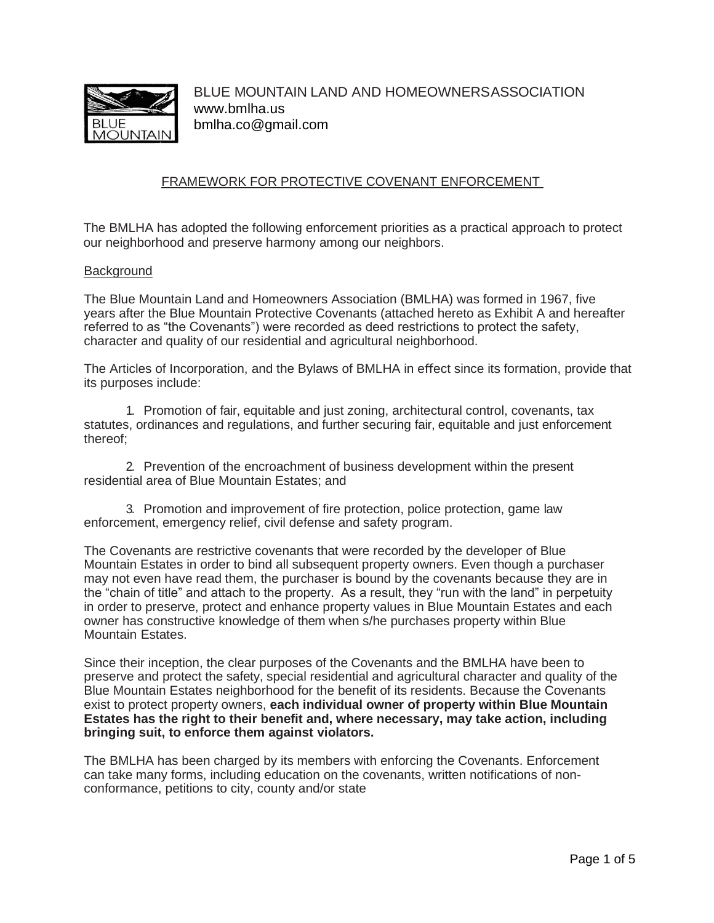

# FRAMEWORK FOR PROTECTIVE COVENANT ENFORCEMENT

The BMLHA has adopted the following enforcement priorities as a practical approach to protect our neighborhood and preserve harmony among our neighbors.

#### **Background**

The Blue Mountain Land and Homeowners Association (BMLHA) was formed in 1967, five years after the Blue Mountain Protective Covenants (attached hereto as Exhibit A and hereafter referred to as "the Covenants") were recorded as deed restrictions to protect the safety, character and quality of our residential and agricultural neighborhood.

The Articles of Incorporation, and the Bylaws of BMLHA in effect since its formation, provide that its purposes include:

1. Promotion of fair, equitable and just zoning, architectural control, covenants, tax statutes, ordinances and regulations, and further securing fair, equitable and just enforcement thereof;

2. Prevention of the encroachment of business development within the present residential area of Blue Mountain Estates; and

3. Promotion and improvement of fire protection, police protection, game law enforcement, emergency relief, civil defense and safety program.

The Covenants are restrictive covenants that were recorded by the developer of Blue Mountain Estates in order to bind all subsequent property owners. Even though a purchaser may not even have read them, the purchaser is bound by the covenants because they are in the "chain of title" and attach to the property. As a result, they "run with the land" in perpetuity in order to preserve, protect and enhance property values in Blue Mountain Estates and each owner has constructive knowledge of them when s/he purchases property within Blue Mountain Estates.

Since their inception, the clear purposes of the Covenants and the BMLHA have been to preserve and protect the safety, special residential and agricultural character and quality of the Blue Mountain Estates neighborhood for the benefit of its residents. Because the Covenants exist to protect property owners, **each individual owner of property within Blue Mountain Estates has the right to their benefit and, where necessary, may take action, including bringing suit, to enforce them against violators.**

The BMLHA has been charged by its members with enforcing the Covenants. Enforcement can take many forms, including education on the covenants, written notifications of nonconformance, petitions to city, county and/or state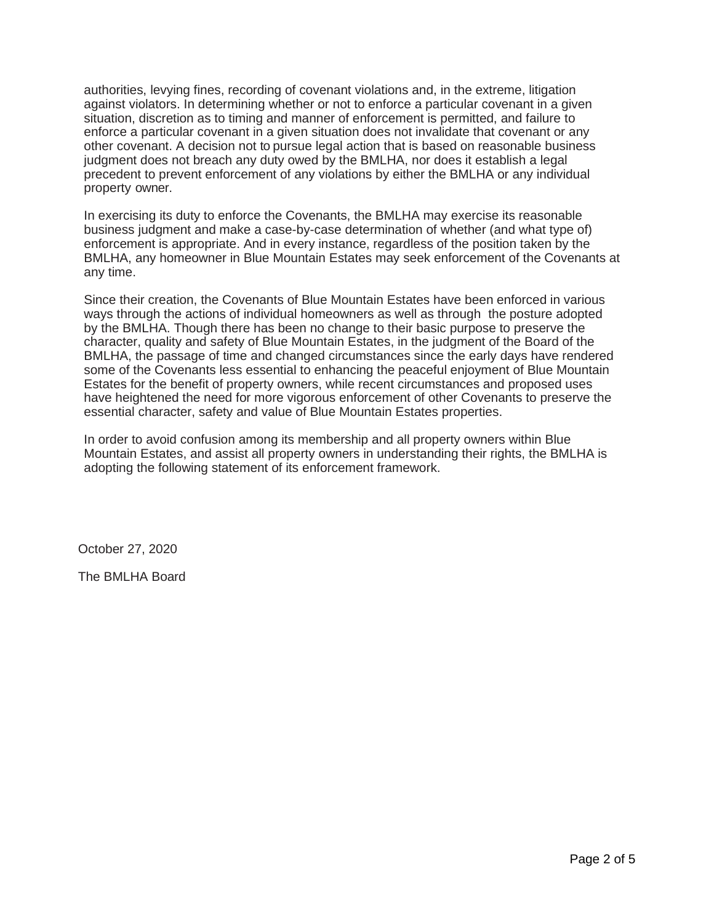authorities, levying fines, recording of covenant violations and, in the extreme, litigation against violators. In determining whether or not to enforce a particular covenant in a given situation, discretion as to timing and manner of enforcement is permitted, and failure to enforce a particular covenant in a given situation does not invalidate that covenant or any other covenant. A decision not to pursue legal action that is based on reasonable business judgment does not breach any duty owed by the BMLHA, nor does it establish a legal precedent to prevent enforcement of any violations by either the BMLHA or any individual property owner.

In exercising its duty to enforce the Covenants, the BMLHA may exercise its reasonable business judgment and make a case-by-case determination of whether (and what type of) enforcement is appropriate. And in every instance, regardless of the position taken by the BMLHA, any homeowner in Blue Mountain Estates may seek enforcement of the Covenants at any time.

Since their creation, the Covenants of Blue Mountain Estates have been enforced in various ways through the actions of individual homeowners as well as through the posture adopted by the BMLHA. Though there has been no change to their basic purpose to preserve the character, quality and safety of Blue Mountain Estates, in the judgment of the Board of the BMLHA, the passage of time and changed circumstances since the early days have rendered some of the Covenants less essential to enhancing the peaceful enjoyment of Blue Mountain Estates for the benefit of property owners, while recent circumstances and proposed uses have heightened the need for more vigorous enforcement of other Covenants to preserve the essential character, safety and value of Blue Mountain Estates properties.

In order to avoid confusion among its membership and all property owners within Blue Mountain Estates, and assist all property owners in understanding their rights, the BMLHA is adopting the following statement of its enforcement framework.

October 27, 2020

The BMLHA Board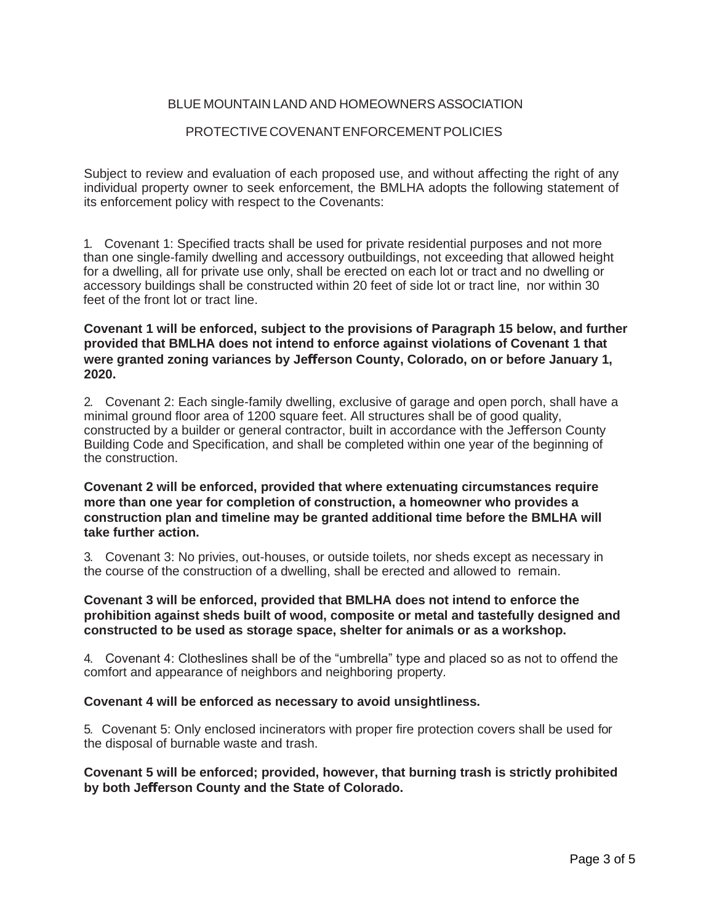# BLUE MOUNTAIN LAND AND HOMEOWNERS ASSOCIATION

### PROTECTIVECOVENANTENFORCEMENTPOLICIES

Subject to review and evaluation of each proposed use, and without affecting the right of any individual property owner to seek enforcement, the BMLHA adopts the following statement of its enforcement policy with respect to the Covenants:

1. Covenant 1: Specified tracts shall be used for private residential purposes and not more than one single-family dwelling and accessory outbuildings, not exceeding that allowed height for a dwelling, all for private use only, shall be erected on each lot or tract and no dwelling or accessory buildings shall be constructed within 20 feet of side lot or tract line, nor within 30 feet of the front lot or tract line.

# **Covenant 1 will be enforced, subject to the provisions of Paragraph 15 below, and further provided that BMLHA does not intend to enforce against violations of Covenant 1 that were granted zoning variances by Jefferson County, Colorado, on or before January 1, 2020.**

2. Covenant 2: Each single-family dwelling, exclusive of garage and open porch, shall have a minimal ground floor area of 1200 square feet. All structures shall be of good quality, constructed by a builder or general contractor, built in accordance with the Jefferson County Building Code and Specification, and shall be completed within one year of the beginning of the construction.

# **Covenant 2 will be enforced, provided that where extenuating circumstances require more than one year for completion of construction, a homeowner who provides a construction plan and timeline may be granted additional time before the BMLHA will take further action.**

3. Covenant 3: No privies, out-houses, or outside toilets, nor sheds except as necessary in the course of the construction of a dwelling, shall be erected and allowed to remain.

#### **Covenant 3 will be enforced, provided that BMLHA does not intend to enforce the prohibition against sheds built of wood, composite or metal and tastefully designed and constructed to be used as storage space, shelter for animals or as a workshop.**

4. Covenant 4: Clotheslines shall be of the "umbrella" type and placed so as not to offend the comfort and appearance of neighbors and neighboring property.

#### **Covenant 4 will be enforced as necessary to avoid unsightliness.**

5. Covenant 5: Only enclosed incinerators with proper fire protection covers shall be used for the disposal of burnable waste and trash.

# **Covenant 5 will be enforced; provided, however, that burning trash is strictly prohibited by both Jefferson County and the State of Colorado.**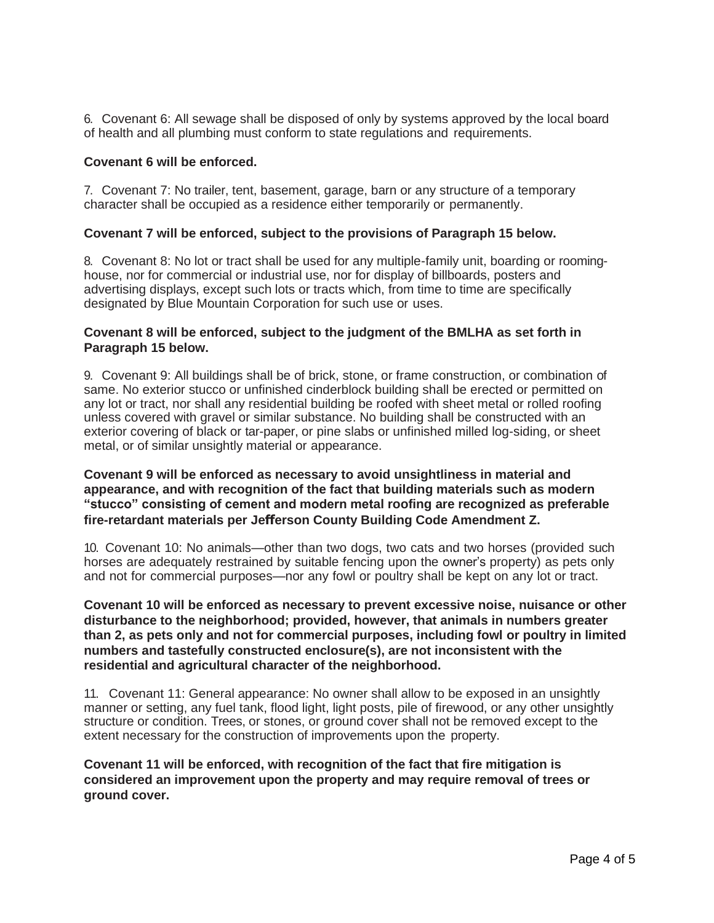6. Covenant 6: All sewage shall be disposed of only by systems approved by the local board of health and all plumbing must conform to state regulations and requirements.

#### **Covenant 6 will be enforced.**

7. Covenant 7: No trailer, tent, basement, garage, barn or any structure of a temporary character shall be occupied as a residence either temporarily or permanently.

#### **Covenant 7 will be enforced, subject to the provisions of Paragraph 15 below.**

8. Covenant 8: No lot or tract shall be used for any multiple-family unit, boarding or roominghouse, nor for commercial or industrial use, nor for display of billboards, posters and advertising displays, except such lots or tracts which, from time to time are specifically designated by Blue Mountain Corporation for such use or uses.

#### **Covenant 8 will be enforced, subject to the judgment of the BMLHA as set forth in Paragraph 15 below.**

9. Covenant 9: All buildings shall be of brick, stone, or frame construction, or combination of same. No exterior stucco or unfinished cinderblock building shall be erected or permitted on any lot or tract, nor shall any residential building be roofed with sheet metal or rolled roofing unless covered with gravel or similar substance. No building shall be constructed with an exterior covering of black or tar-paper, or pine slabs or unfinished milled log-siding, or sheet metal, or of similar unsightly material or appearance.

### **Covenant 9 will be enforced as necessary to avoid unsightliness in material and appearance, and with recognition of the fact that building materials such as modern "stucco" consisting of cement and modern metal roofing are recognized as preferable fire-retardant materials per Jefferson County Building Code Amendment Z.**

10. Covenant 10: No animals—other than two dogs, two cats and two horses (provided such horses are adequately restrained by suitable fencing upon the owner's property) as pets only and not for commercial purposes—nor any fowl or poultry shall be kept on any lot or tract.

## **Covenant 10 will be enforced as necessary to prevent excessive noise, nuisance or other disturbance to the neighborhood; provided, however, that animals in numbers greater than 2, as pets only and not for commercial purposes, including fowl or poultry in limited numbers and tastefully constructed enclosure(s), are not inconsistent with the residential and agricultural character of the neighborhood.**

11. Covenant 11: General appearance: No owner shall allow to be exposed in an unsightly manner or setting, any fuel tank, flood light, light posts, pile of firewood, or any other unsightly structure or condition. Trees, or stones, or ground cover shall not be removed except to the extent necessary for the construction of improvements upon the property.

**Covenant 11 will be enforced, with recognition of the fact that fire mitigation is considered an improvement upon the property and may require removal of trees or ground cover.**